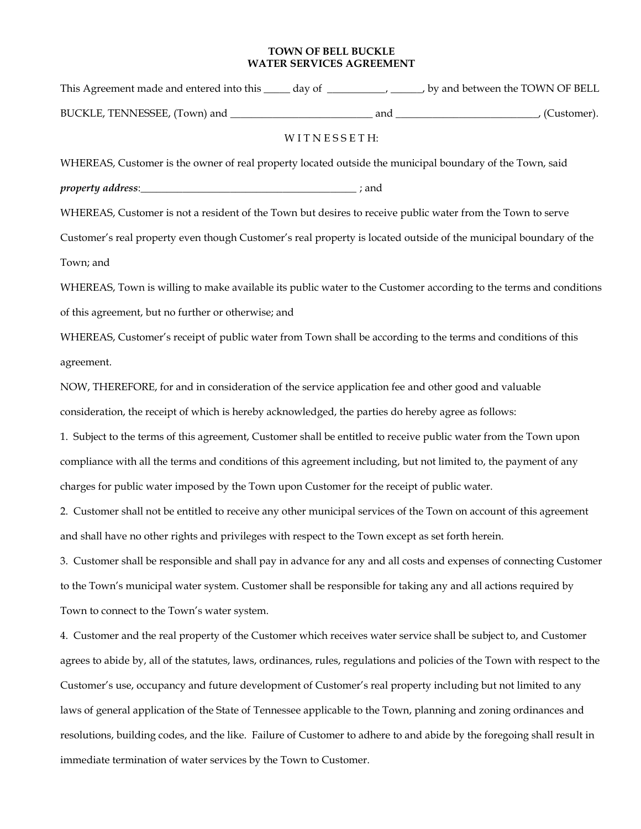## **TOWN OF BELL BUCKLE WATER SERVICES AGREEMENT**

| This Agreement made and entered into this | day of | by and between the TOWN OF BELL |
|-------------------------------------------|--------|---------------------------------|
| BUCKLE, TENNESSEE, (Town) and             | and    | (Customer).                     |

## WITNESSETH:

WHEREAS, Customer is the owner of real property located outside the municipal boundary of the Town, said

property address:  $\blacksquare$ 

WHEREAS, Customer is not a resident of the Town but desires to receive public water from the Town to serve

Customer's real property even though Customer's real property is located outside of the municipal boundary of the Town; and

WHEREAS, Town is willing to make available its public water to the Customer according to the terms and conditions of this agreement, but no further or otherwise; and

WHEREAS, Customer's receipt of public water from Town shall be according to the terms and conditions of this agreement.

NOW, THEREFORE, for and in consideration of the service application fee and other good and valuable consideration, the receipt of which is hereby acknowledged, the parties do hereby agree as follows:

1. Subject to the terms of this agreement, Customer shall be entitled to receive public water from the Town upon compliance with all the terms and conditions of this agreement including, but not limited to, the payment of any charges for public water imposed by the Town upon Customer for the receipt of public water.

2. Customer shall not be entitled to receive any other municipal services of the Town on account of this agreement and shall have no other rights and privileges with respect to the Town except as set forth herein.

3. Customer shall be responsible and shall pay in advance for any and all costs and expenses of connecting Customer to the Town's municipal water system. Customer shall be responsible for taking any and all actions required by Town to connect to the Town's water system.

4. Customer and the real property of the Customer which receives water service shall be subject to, and Customer agrees to abide by, all of the statutes, laws, ordinances, rules, regulations and policies of the Town with respect to the Customer's use, occupancy and future development of Customer's real property including but not limited to any laws of general application of the State of Tennessee applicable to the Town, planning and zoning ordinances and resolutions, building codes, and the like. Failure of Customer to adhere to and abide by the foregoing shall result in immediate termination of water services by the Town to Customer.